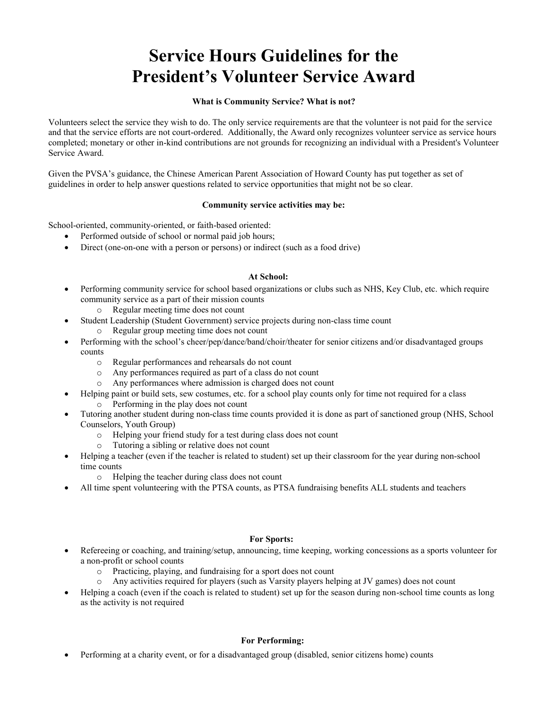# **Service Hours Guidelines for the President's Volunteer Service Award**

## **What is Community Service? What is not?**

Volunteers select the service they wish to do. The only service requirements are that the volunteer is not paid for the service and that the service efforts are not court-ordered. Additionally, the Award only recognizes volunteer service as service hours completed; monetary or other in-kind contributions are not grounds for recognizing an individual with a President's Volunteer Service Award.

Given the PVSA's guidance, the Chinese American Parent Association of Howard County has put together as set of guidelines in order to help answer questions related to service opportunities that might not be so clear.

# **Community service activities may be:**

School-oriented, community-oriented, or faith-based oriented:

- Performed outside of school or normal paid job hours;
- Direct (one-on-one with a person or persons) or indirect (such as a food drive)

#### **At School:**

- Performing community service for school based organizations or clubs such as NHS, Key Club, etc. which require community service as a part of their mission counts
	- o Regular meeting time does not count
	- Student Leadership (Student Government) service projects during non-class time count
		- o Regular group meeting time does not count
- Performing with the school's cheer/pep/dance/band/choir/theater for senior citizens and/or disadvantaged groups counts
	- o Regular performances and rehearsals do not count
	- o Any performances required as part of a class do not count
	- o Any performances where admission is charged does not count
- Helping paint or build sets, sew costumes, etc. for a school play counts only for time not required for a class
	- o Performing in the play does not count
- Tutoring another student during non-class time counts provided it is done as part of sanctioned group (NHS, School Counselors, Youth Group)
	- o Helping your friend study for a test during class does not count
	- o Tutoring a sibling or relative does not count
- Helping a teacher (even if the teacher is related to student) set up their classroom for the year during non-school time counts
	- o Helping the teacher during class does not count
- All time spent volunteering with the PTSA counts, as PTSA fundraising benefits ALL students and teachers

# **For Sports:**

- Refereeing or coaching, and training/setup, announcing, time keeping, working concessions as a sports volunteer for a non-profit or school counts
	- o Practicing, playing, and fundraising for a sport does not count
	- o Any activities required for players (such as Varsity players helping at JV games) does not count
- Helping a coach (even if the coach is related to student) set up for the season during non-school time counts as long as the activity is not required

# **For Performing:**

Performing at a charity event, or for a disadvantaged group (disabled, senior citizens home) counts